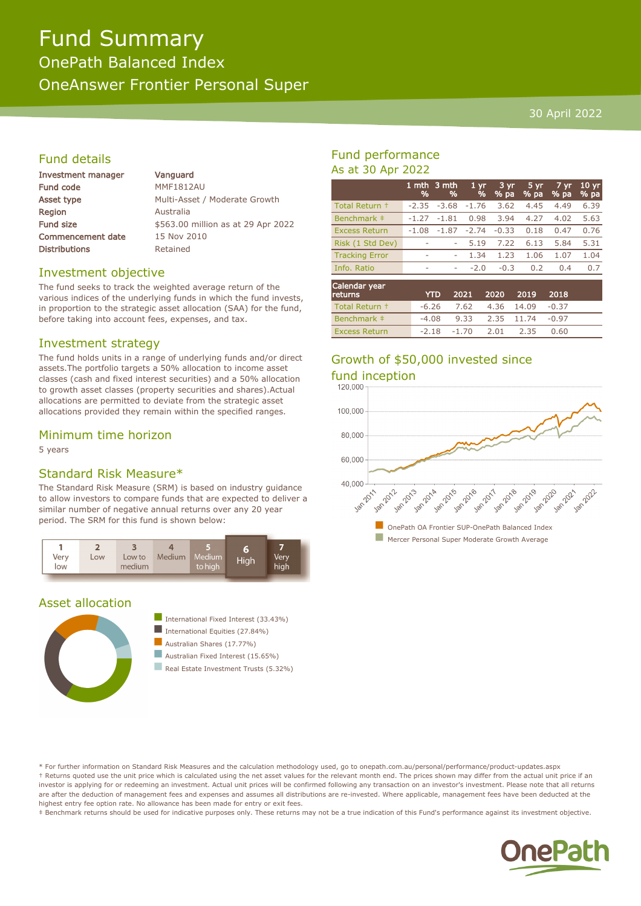# Fund Summary OnePath Balanced Index OneAnswer Frontier Personal Super

#### 30 April 2022

## Fund details

| Investment manager       | Vanguard                           |
|--------------------------|------------------------------------|
| <b>Fund code</b>         | <b>MMF1812AU</b>                   |
| Asset type               | Multi-Asset / Moderate Growth      |
| <b>Region</b>            | Australia                          |
| <b>Fund size</b>         | \$563.00 million as at 29 Apr 2022 |
| <b>Commencement date</b> | 15 Nov 2010                        |
| <b>Distributions</b>     | Retained                           |
|                          |                                    |

#### Investment objective

The fund seeks to track the weighted average return of the various indices of the underlying funds in which the fund invests, in proportion to the strategic asset allocation (SAA) for the fund, before taking into account fees, expenses, and tax.

#### Investment strategy

The fund holds units in a range of underlying funds and/or direct assets.The portfolio targets a 50% allocation to income asset classes (cash and fixed interest securities) and a 50% allocation to growth asset classes (property securities and shares).Actual allocations are permitted to deviate from the strategic asset allocations provided they remain within the specified ranges.

#### Minimum time horizon

5 years

#### Standard Risk Measure\*

The Standard Risk Measure (SRM) is based on industry guidance to allow investors to compare funds that are expected to deliver a similar number of negative annual returns over any 20 year period. The SRM for this fund is shown below:



#### Asset allocation



- International Fixed Interest  $(33.43\%)$
- International Equities  $(27.84\%)$
- $\blacksquare$  Australian Shares (17.77%)
- $\blacksquare$  Australian Fixed Interest (15.65%)
- **n** Real Estate Investment Trusts (5.32%)

### Fund performance As at 30 Apr 2022

|                       | %       | 1 mth 3 mth<br>% | 1 <sub>yr</sub><br>% | $3 \, yr$<br>$%$ pa | $5 \, yr$<br>$%$ pa | 7 yr<br>% pa | 10 <sub>yr</sub><br>% pa |
|-----------------------|---------|------------------|----------------------|---------------------|---------------------|--------------|--------------------------|
| Total Return +        | $-2.35$ | $-3.68$          | $-1.76$              | 3.62                | 4.45                | 4.49         | 6.39                     |
| Benchmark #           | $-1.27$ | $-1.81$          | 0.98                 | 3.94                | 4.27                | 4.02         | 5.63                     |
| <b>Excess Return</b>  | $-1.08$ | $-1.87$          | $-2.74$              | $-0.33$             | 0.18                | 0.47         | 0.76                     |
| Risk (1 Std Dev)      |         | ۰                | 5.19                 | 7.22                | 6.13                | 5.84         | 5.31                     |
| <b>Tracking Error</b> | ٠       | ۰                | 1.34                 | 1.23                | 1.06                | 1.07         | 1.04                     |
| Info. Ratio           | ۰       | ۰                | $-2.0$               | $-0.3$              | 0.2                 | 0.4          | 0.7                      |
| Calendar year         |         |                  |                      |                     |                     |              |                          |

| Calcillar year<br><b>returns</b> | <b>YTD</b> |                               | 2021 2020 2019 2018                   |      |  |
|----------------------------------|------------|-------------------------------|---------------------------------------|------|--|
| Total Return +                   |            |                               | $-6.26$ $7.62$ $4.36$ $14.09$ $-0.37$ |      |  |
| Benchmark #                      |            |                               | $-4.08$ 9.33 2.35 11.74 $-0.97$       |      |  |
| <b>Excess Return</b>             |            | $-2.18$ $-1.70$ $2.01$ $2.35$ |                                       | 0.60 |  |

# Growth of \$50,000 invested since



\* For further information on Standard Risk Measures and the calculation methodology used, go to onepath.com.au/personal/performance/product-updates.aspx † Returns quoted use the unit price which is calculated using the net asset values for the relevant month end. The prices shown may differ from the actual unit price if an investor is applying for or redeeming an investment. Actual unit prices will be confirmed following any transaction on an investor's investment. Please note that all returns are after the deduction of management fees and expenses and assumes all distributions are re-invested. Where applicable, management fees have been deducted at the highest entry fee option rate. No allowance has been made for entry or exit fees.

‡ Benchmark returns should be used for indicative purposes only. These returns may not be a true indication of this Fund's performance against its investment objective.